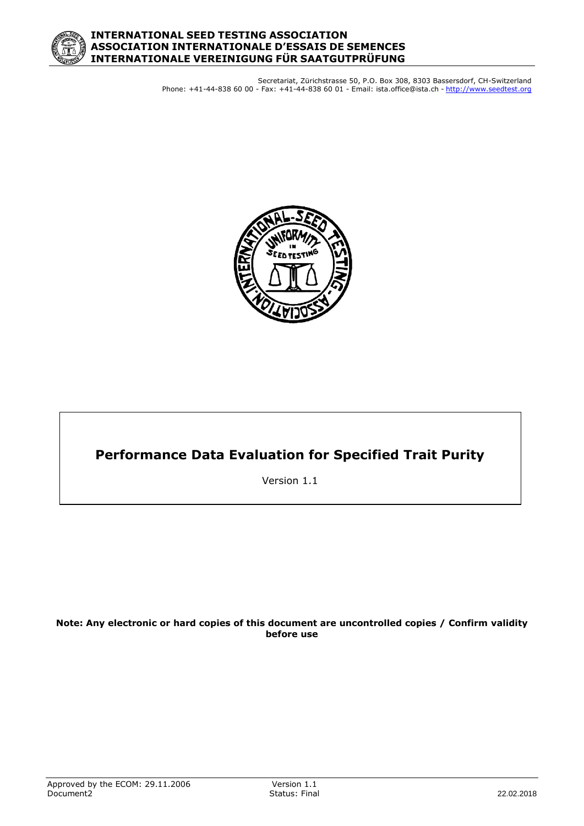

Secretariat, Zürichstrasse 50, P.O. Box 308, 8303 Bassersdorf, CH-Switzerland Phone: +41-44-838 60 00 - Fax: +41-44-838 60 01 - Email: ista.office@ista.ch - http://www.seedtest.org



# **Performance Data Evaluation for Specified Trait Purity**

Version 1.1

#### **Note: Any electronic or hard copies of this document are uncontrolled copies / Confirm validity before use**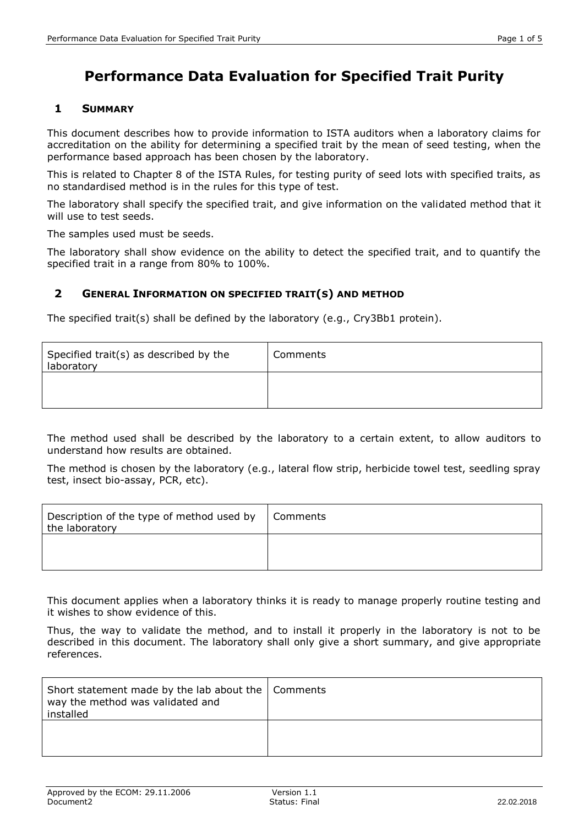## **1 SUMMARY**

This document describes how to provide information to ISTA auditors when a laboratory claims for accreditation on the ability for determining a specified trait by the mean of seed testing, when the performance based approach has been chosen by the laboratory.

This is related to Chapter 8 of the ISTA Rules, for testing purity of seed lots with specified traits, as no standardised method is in the rules for this type of test.

The laboratory shall specify the specified trait, and give information on the validated method that it will use to test seeds.

The samples used must be seeds.

The laboratory shall show evidence on the ability to detect the specified trait, and to quantify the specified trait in a range from 80% to 100%.

## **2 GENERAL INFORMATION ON SPECIFIED TRAIT(S) AND METHOD**

The specified trait(s) shall be defined by the laboratory (e.g., Cry3Bb1 protein).

| Specified trait(s) as described by the<br>laboratory | Comments |
|------------------------------------------------------|----------|
|                                                      |          |

The method used shall be described by the laboratory to a certain extent, to allow auditors to understand how results are obtained.

The method is chosen by the laboratory (e.g., lateral flow strip, herbicide towel test, seedling spray test, insect bio-assay, PCR, etc).

| Description of the type of method used by<br>the laboratory | Comments |
|-------------------------------------------------------------|----------|
|                                                             |          |

This document applies when a laboratory thinks it is ready to manage properly routine testing and it wishes to show evidence of this.

Thus, the way to validate the method, and to install it properly in the laboratory is not to be described in this document. The laboratory shall only give a short summary, and give appropriate references.

| Short statement made by the lab about the   Comments<br>way the method was validated and<br>installed |  |
|-------------------------------------------------------------------------------------------------------|--|
|                                                                                                       |  |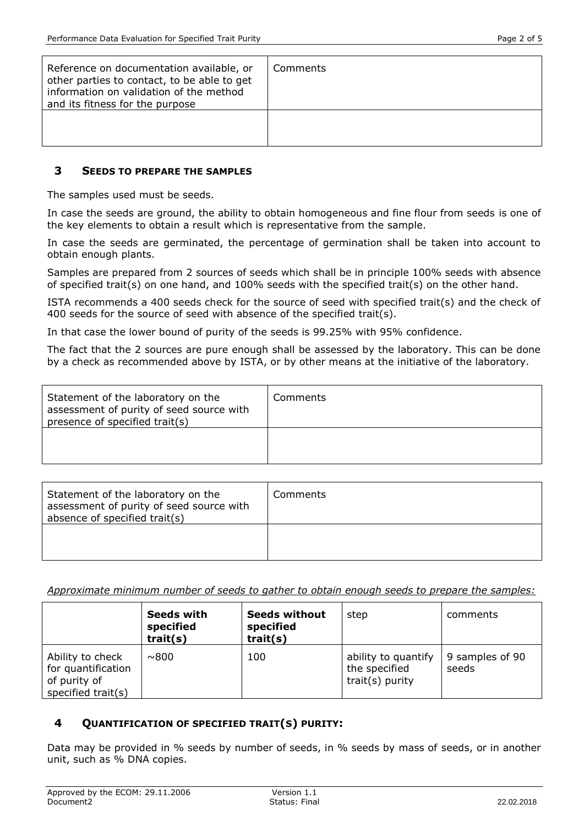| Reference on documentation available, or<br>other parties to contact, to be able to get<br>information on validation of the method<br>and its fitness for the purpose | Comments |
|-----------------------------------------------------------------------------------------------------------------------------------------------------------------------|----------|
|                                                                                                                                                                       |          |

### **3 SEEDS TO PREPARE THE SAMPLES**

The samples used must be seeds.

In case the seeds are ground, the ability to obtain homogeneous and fine flour from seeds is one of the key elements to obtain a result which is representative from the sample.

In case the seeds are germinated, the percentage of germination shall be taken into account to obtain enough plants.

Samples are prepared from 2 sources of seeds which shall be in principle 100% seeds with absence of specified trait(s) on one hand, and 100% seeds with the specified trait(s) on the other hand.

ISTA recommends a 400 seeds check for the source of seed with specified trait(s) and the check of 400 seeds for the source of seed with absence of the specified trait(s).

In that case the lower bound of purity of the seeds is 99.25% with 95% confidence.

The fact that the 2 sources are pure enough shall be assessed by the laboratory. This can be done by a check as recommended above by ISTA, or by other means at the initiative of the laboratory.

| Statement of the laboratory on the<br>assessment of purity of seed source with<br>presence of specified trait(s) | Comments |
|------------------------------------------------------------------------------------------------------------------|----------|
|                                                                                                                  |          |

| Statement of the laboratory on the<br>assessment of purity of seed source with<br>absence of specified trait(s) | Comments |
|-----------------------------------------------------------------------------------------------------------------|----------|
|                                                                                                                 |          |

*Approximate minimum number of seeds to gather to obtain enough seeds to prepare the samples:*

|                                                                              | Seeds with<br>specified<br>train(s) | <b>Seeds without</b><br>specified<br>train(s) | step                                                    | comments                 |
|------------------------------------------------------------------------------|-------------------------------------|-----------------------------------------------|---------------------------------------------------------|--------------------------|
| Ability to check<br>for quantification<br>of purity of<br>specified trait(s) | ~800                                | 100                                           | ability to quantify<br>the specified<br>trait(s) purity | 9 samples of 90<br>seeds |

### **4 QUANTIFICATION OF SPECIFIED TRAIT(S) PURITY:**

Data may be provided in % seeds by number of seeds, in % seeds by mass of seeds, or in another unit, such as % DNA copies.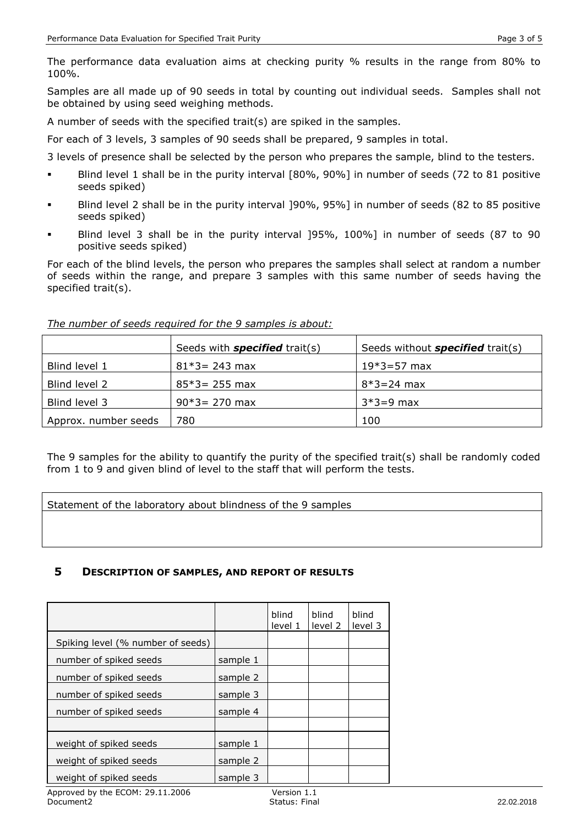The performance data evaluation aims at checking purity % results in the range from 80% to 100%.

Samples are all made up of 90 seeds in total by counting out individual seeds. Samples shall not be obtained by using seed weighing methods.

A number of seeds with the specified trait(s) are spiked in the samples.

For each of 3 levels, 3 samples of 90 seeds shall be prepared, 9 samples in total.

3 levels of presence shall be selected by the person who prepares the sample, blind to the testers.

- Blind level 1 shall be in the purity interval [80%, 90%] in number of seeds (72 to 81 positive seeds spiked)
- Blind level 2 shall be in the purity interval 190%, 95%] in number of seeds (82 to 85 positive seeds spiked)
- Blind level 3 shall be in the purity interval ]95%, 100%] in number of seeds (87 to 90 positive seeds spiked)

For each of the blind levels, the person who prepares the samples shall select at random a number of seeds within the range, and prepare 3 samples with this same number of seeds having the specified trait(s).

|                      | Seeds with <b>specified</b> trait(s) | Seeds without <b>specified</b> trait(s) |
|----------------------|--------------------------------------|-----------------------------------------|
| Blind level 1        | $81*3 = 243$ max                     | $19*3 = 57$ max                         |
| Blind level 2        | $85*3 = 255$ max                     | $8*3 = 24$ max                          |
| Blind level 3        | $90*3 = 270$ max                     | $3*3=9$ max                             |
| Approx. number seeds | 780                                  | 100                                     |

*The number of seeds required for the 9 samples is about:*

The 9 samples for the ability to quantify the purity of the specified trait(s) shall be randomly coded from 1 to 9 and given blind of level to the staff that will perform the tests.

Statement of the laboratory about blindness of the 9 samples

### **5 DESCRIPTION OF SAMPLES, AND REPORT OF RESULTS**

|                                   |          | blind<br>level 1 | blind<br>level 2 | blind<br>level 3 |
|-----------------------------------|----------|------------------|------------------|------------------|
| Spiking level (% number of seeds) |          |                  |                  |                  |
| number of spiked seeds            | sample 1 |                  |                  |                  |
| number of spiked seeds            | sample 2 |                  |                  |                  |
| number of spiked seeds            | sample 3 |                  |                  |                  |
| number of spiked seeds            | sample 4 |                  |                  |                  |
|                                   |          |                  |                  |                  |
| weight of spiked seeds            | sample 1 |                  |                  |                  |
| weight of spiked seeds            | sample 2 |                  |                  |                  |
| weight of spiked seeds            | sample 3 |                  |                  |                  |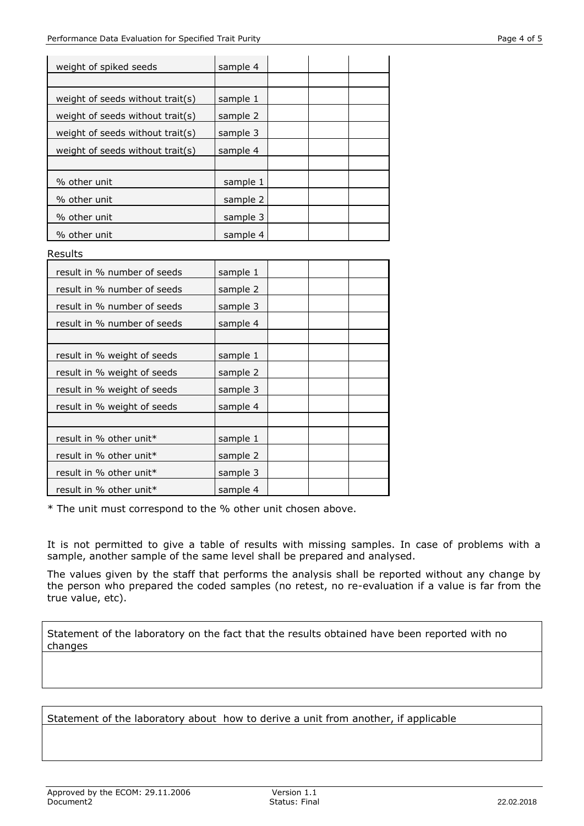| weight of spiked seeds           | sample 4 |  |  |
|----------------------------------|----------|--|--|
|                                  |          |  |  |
| weight of seeds without trait(s) | sample 1 |  |  |
| weight of seeds without trait(s) | sample 2 |  |  |
| weight of seeds without trait(s) | sample 3 |  |  |
| weight of seeds without trait(s) | sample 4 |  |  |
|                                  |          |  |  |
| % other unit                     | sample 1 |  |  |
| % other unit                     | sample 2 |  |  |
| % other unit                     | sample 3 |  |  |
| % other unit                     | sample 4 |  |  |
|                                  |          |  |  |
| Results                          |          |  |  |
| result in % number of seeds      | sample 1 |  |  |
| result in % number of seeds      | sample 2 |  |  |
| result in % number of seeds      | sample 3 |  |  |
| result in % number of seeds      | sample 4 |  |  |
|                                  |          |  |  |
| result in % weight of seeds      | sample 1 |  |  |
| result in % weight of seeds      | sample 2 |  |  |
| result in % weight of seeds      | sample 3 |  |  |
| result in % weight of seeds      | sample 4 |  |  |

\* The unit must correspond to the % other unit chosen above.

result in % other unit\*  $\vert$  sample 1 result in % other unit\*  $\vert$  sample 2 result in % other unit  $\ast$  sample 3 result in % other unit\*  $\vert$  sample 4

It is not permitted to give a table of results with missing samples. In case of problems with a sample, another sample of the same level shall be prepared and analysed.

The values given by the staff that performs the analysis shall be reported without any change by the person who prepared the coded samples (no retest, no re-evaluation if a value is far from the true value, etc).

Statement of the laboratory on the fact that the results obtained have been reported with no changes

Statement of the laboratory about how to derive a unit from another, if applicable